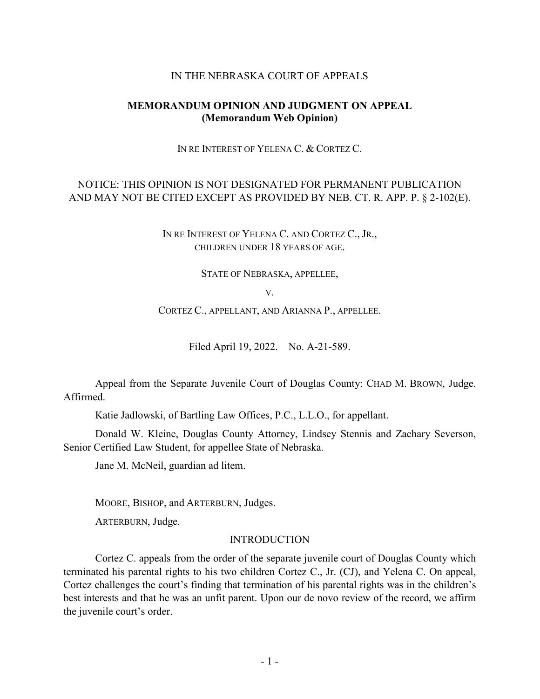### IN THE NEBRASKA COURT OF APPEALS

## **MEMORANDUM OPINION AND JUDGMENT ON APPEAL (Memorandum Web Opinion)**

IN RE INTEREST OF YELENA C. & CORTEZ C.

# NOTICE: THIS OPINION IS NOT DESIGNATED FOR PERMANENT PUBLICATION AND MAY NOT BE CITED EXCEPT AS PROVIDED BY NEB. CT. R. APP. P. § 2-102(E).

IN RE INTEREST OF YELENA C. AND CORTEZ C., JR., CHILDREN UNDER 18 YEARS OF AGE.

STATE OF NEBRASKA, APPELLEE,

V.

CORTEZ C., APPELLANT, AND ARIANNA P., APPELLEE.

Filed April 19, 2022. No. A-21-589.

Appeal from the Separate Juvenile Court of Douglas County: CHAD M. BROWN, Judge. Affirmed.

Katie Jadlowski, of Bartling Law Offices, P.C., L.L.O., for appellant.

Donald W. Kleine, Douglas County Attorney, Lindsey Stennis and Zachary Severson, Senior Certified Law Student, for appellee State of Nebraska.

Jane M. McNeil, guardian ad litem.

MOORE, BISHOP, and ARTERBURN, Judges.

ARTERBURN, Judge.

### INTRODUCTION

Cortez C. appeals from the order of the separate juvenile court of Douglas County which terminated his parental rights to his two children Cortez C., Jr. (CJ), and Yelena C. On appeal, Cortez challenges the court's finding that termination of his parental rights was in the children's best interests and that he was an unfit parent. Upon our de novo review of the record, we affirm the juvenile court's order.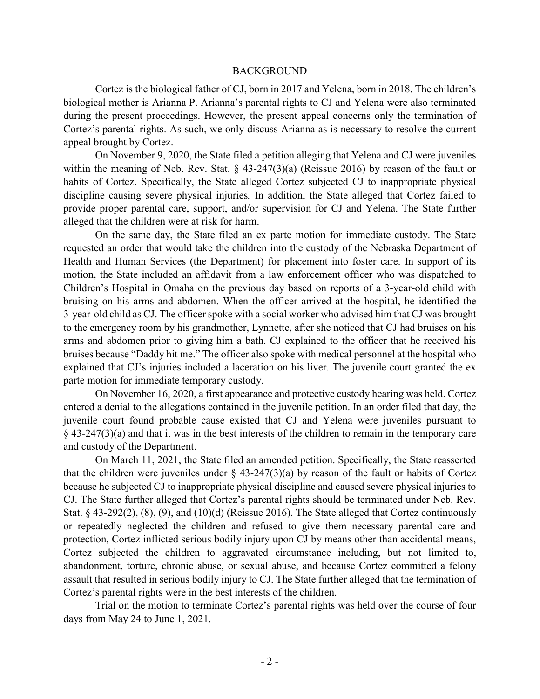#### BACKGROUND

Cortez is the biological father of CJ, born in 2017 and Yelena, born in 2018. The children's biological mother is Arianna P. Arianna's parental rights to CJ and Yelena were also terminated during the present proceedings. However, the present appeal concerns only the termination of Cortez's parental rights. As such, we only discuss Arianna as is necessary to resolve the current appeal brought by Cortez.

On November 9, 2020, the State filed a petition alleging that Yelena and CJ were juveniles within the meaning of Neb. Rev. Stat. § 43-247(3)(a) (Reissue 2016) by reason of the fault or habits of Cortez. Specifically, the State alleged Cortez subjected CJ to inappropriate physical discipline causing severe physical injuries*.* In addition, the State alleged that Cortez failed to provide proper parental care, support, and/or supervision for CJ and Yelena. The State further alleged that the children were at risk for harm.

On the same day, the State filed an ex parte motion for immediate custody. The State requested an order that would take the children into the custody of the Nebraska Department of Health and Human Services (the Department) for placement into foster care. In support of its motion, the State included an affidavit from a law enforcement officer who was dispatched to Children's Hospital in Omaha on the previous day based on reports of a 3-year-old child with bruising on his arms and abdomen. When the officer arrived at the hospital, he identified the 3-year-old child as CJ. The officer spoke with a social worker who advised him that CJ was brought to the emergency room by his grandmother, Lynnette, after she noticed that CJ had bruises on his arms and abdomen prior to giving him a bath. CJ explained to the officer that he received his bruises because "Daddy hit me." The officer also spoke with medical personnel at the hospital who explained that CJ's injuries included a laceration on his liver. The juvenile court granted the ex parte motion for immediate temporary custody.

On November 16, 2020, a first appearance and protective custody hearing was held. Cortez entered a denial to the allegations contained in the juvenile petition. In an order filed that day, the juvenile court found probable cause existed that CJ and Yelena were juveniles pursuant to  $\S$  43-247(3)(a) and that it was in the best interests of the children to remain in the temporary care and custody of the Department.

On March 11, 2021, the State filed an amended petition. Specifically, the State reasserted that the children were juveniles under  $\S$  43-247(3)(a) by reason of the fault or habits of Cortez because he subjected CJ to inappropriate physical discipline and caused severe physical injuries to CJ. The State further alleged that Cortez's parental rights should be terminated under Neb. Rev. Stat. § 43-292(2), (8), (9), and (10)(d) (Reissue 2016). The State alleged that Cortez continuously or repeatedly neglected the children and refused to give them necessary parental care and protection, Cortez inflicted serious bodily injury upon CJ by means other than accidental means, Cortez subjected the children to aggravated circumstance including, but not limited to, abandonment, torture, chronic abuse, or sexual abuse, and because Cortez committed a felony assault that resulted in serious bodily injury to CJ. The State further alleged that the termination of Cortez's parental rights were in the best interests of the children.

Trial on the motion to terminate Cortez's parental rights was held over the course of four days from May 24 to June 1, 2021.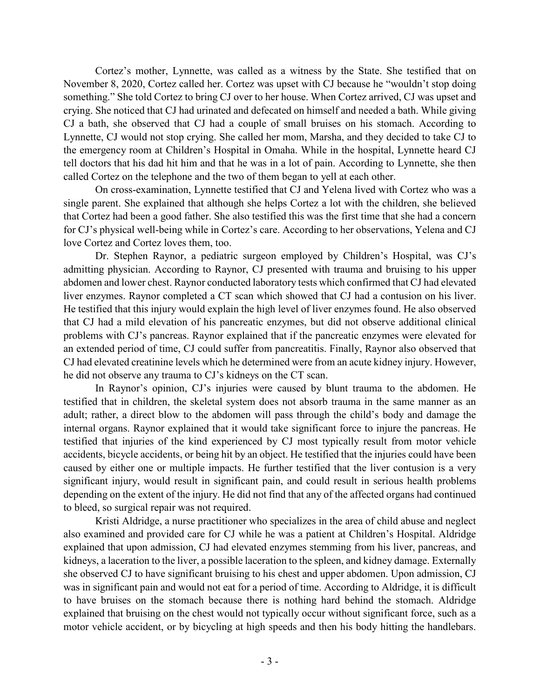Cortez's mother, Lynnette, was called as a witness by the State. She testified that on November 8, 2020, Cortez called her. Cortez was upset with CJ because he "wouldn't stop doing something." She told Cortez to bring CJ over to her house. When Cortez arrived, CJ was upset and crying. She noticed that CJ had urinated and defecated on himself and needed a bath. While giving CJ a bath, she observed that CJ had a couple of small bruises on his stomach. According to Lynnette, CJ would not stop crying. She called her mom, Marsha, and they decided to take CJ to the emergency room at Children's Hospital in Omaha. While in the hospital, Lynnette heard CJ tell doctors that his dad hit him and that he was in a lot of pain. According to Lynnette, she then called Cortez on the telephone and the two of them began to yell at each other.

On cross-examination, Lynnette testified that CJ and Yelena lived with Cortez who was a single parent. She explained that although she helps Cortez a lot with the children, she believed that Cortez had been a good father. She also testified this was the first time that she had a concern for CJ's physical well-being while in Cortez's care. According to her observations, Yelena and CJ love Cortez and Cortez loves them, too.

Dr. Stephen Raynor, a pediatric surgeon employed by Children's Hospital, was CJ's admitting physician. According to Raynor, CJ presented with trauma and bruising to his upper abdomen and lower chest. Raynor conducted laboratory tests which confirmed that CJ had elevated liver enzymes. Raynor completed a CT scan which showed that CJ had a contusion on his liver. He testified that this injury would explain the high level of liver enzymes found. He also observed that CJ had a mild elevation of his pancreatic enzymes, but did not observe additional clinical problems with CJ's pancreas. Raynor explained that if the pancreatic enzymes were elevated for an extended period of time, CJ could suffer from pancreatitis. Finally, Raynor also observed that CJ had elevated creatinine levels which he determined were from an acute kidney injury. However, he did not observe any trauma to CJ's kidneys on the CT scan.

In Raynor's opinion, CJ's injuries were caused by blunt trauma to the abdomen. He testified that in children, the skeletal system does not absorb trauma in the same manner as an adult; rather, a direct blow to the abdomen will pass through the child's body and damage the internal organs. Raynor explained that it would take significant force to injure the pancreas. He testified that injuries of the kind experienced by CJ most typically result from motor vehicle accidents, bicycle accidents, or being hit by an object. He testified that the injuries could have been caused by either one or multiple impacts. He further testified that the liver contusion is a very significant injury, would result in significant pain, and could result in serious health problems depending on the extent of the injury. He did not find that any of the affected organs had continued to bleed, so surgical repair was not required.

Kristi Aldridge, a nurse practitioner who specializes in the area of child abuse and neglect also examined and provided care for CJ while he was a patient at Children's Hospital. Aldridge explained that upon admission, CJ had elevated enzymes stemming from his liver, pancreas, and kidneys, a laceration to the liver, a possible laceration to the spleen, and kidney damage. Externally she observed CJ to have significant bruising to his chest and upper abdomen. Upon admission, CJ was in significant pain and would not eat for a period of time. According to Aldridge, it is difficult to have bruises on the stomach because there is nothing hard behind the stomach. Aldridge explained that bruising on the chest would not typically occur without significant force, such as a motor vehicle accident, or by bicycling at high speeds and then his body hitting the handlebars.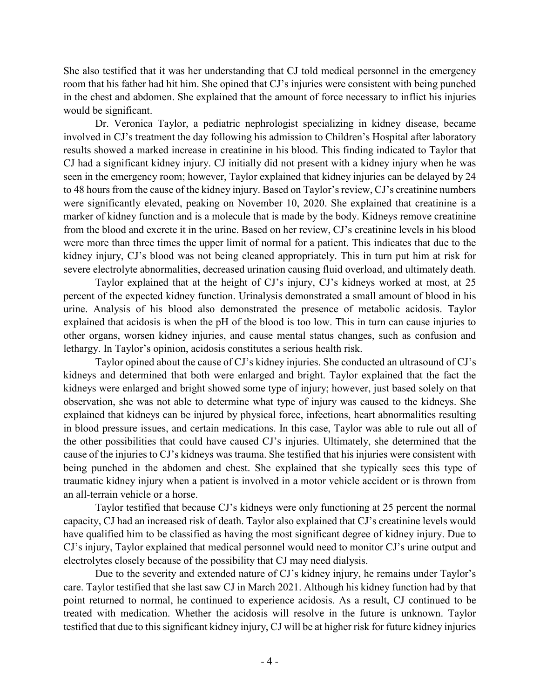She also testified that it was her understanding that CJ told medical personnel in the emergency room that his father had hit him. She opined that CJ's injuries were consistent with being punched in the chest and abdomen. She explained that the amount of force necessary to inflict his injuries would be significant.

Dr. Veronica Taylor, a pediatric nephrologist specializing in kidney disease, became involved in CJ's treatment the day following his admission to Children's Hospital after laboratory results showed a marked increase in creatinine in his blood. This finding indicated to Taylor that CJ had a significant kidney injury. CJ initially did not present with a kidney injury when he was seen in the emergency room; however, Taylor explained that kidney injuries can be delayed by 24 to 48 hours from the cause of the kidney injury. Based on Taylor's review, CJ's creatinine numbers were significantly elevated, peaking on November 10, 2020. She explained that creatinine is a marker of kidney function and is a molecule that is made by the body. Kidneys remove creatinine from the blood and excrete it in the urine. Based on her review, CJ's creatinine levels in his blood were more than three times the upper limit of normal for a patient. This indicates that due to the kidney injury, CJ's blood was not being cleaned appropriately. This in turn put him at risk for severe electrolyte abnormalities, decreased urination causing fluid overload, and ultimately death.

Taylor explained that at the height of CJ's injury, CJ's kidneys worked at most, at 25 percent of the expected kidney function. Urinalysis demonstrated a small amount of blood in his urine. Analysis of his blood also demonstrated the presence of metabolic acidosis. Taylor explained that acidosis is when the pH of the blood is too low. This in turn can cause injuries to other organs, worsen kidney injuries, and cause mental status changes, such as confusion and lethargy. In Taylor's opinion, acidosis constitutes a serious health risk.

Taylor opined about the cause of CJ's kidney injuries. She conducted an ultrasound of CJ's kidneys and determined that both were enlarged and bright. Taylor explained that the fact the kidneys were enlarged and bright showed some type of injury; however, just based solely on that observation, she was not able to determine what type of injury was caused to the kidneys. She explained that kidneys can be injured by physical force, infections, heart abnormalities resulting in blood pressure issues, and certain medications. In this case, Taylor was able to rule out all of the other possibilities that could have caused CJ's injuries. Ultimately, she determined that the cause of the injuries to CJ's kidneys was trauma. She testified that his injuries were consistent with being punched in the abdomen and chest. She explained that she typically sees this type of traumatic kidney injury when a patient is involved in a motor vehicle accident or is thrown from an all-terrain vehicle or a horse.

Taylor testified that because CJ's kidneys were only functioning at 25 percent the normal capacity, CJ had an increased risk of death. Taylor also explained that CJ's creatinine levels would have qualified him to be classified as having the most significant degree of kidney injury. Due to CJ's injury, Taylor explained that medical personnel would need to monitor CJ's urine output and electrolytes closely because of the possibility that CJ may need dialysis.

Due to the severity and extended nature of CJ's kidney injury, he remains under Taylor's care. Taylor testified that she last saw CJ in March 2021. Although his kidney function had by that point returned to normal, he continued to experience acidosis. As a result, CJ continued to be treated with medication. Whether the acidosis will resolve in the future is unknown. Taylor testified that due to this significant kidney injury, CJ will be at higher risk for future kidney injuries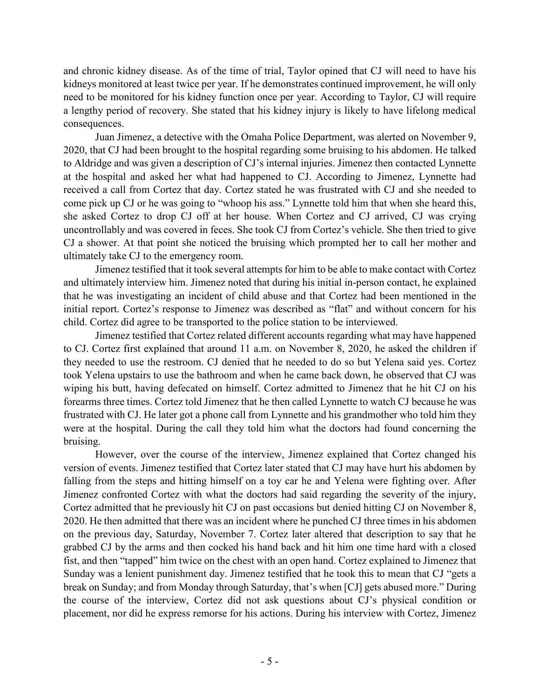and chronic kidney disease. As of the time of trial, Taylor opined that CJ will need to have his kidneys monitored at least twice per year. If he demonstrates continued improvement, he will only need to be monitored for his kidney function once per year. According to Taylor, CJ will require a lengthy period of recovery. She stated that his kidney injury is likely to have lifelong medical consequences.

Juan Jimenez, a detective with the Omaha Police Department, was alerted on November 9, 2020, that CJ had been brought to the hospital regarding some bruising to his abdomen. He talked to Aldridge and was given a description of CJ's internal injuries. Jimenez then contacted Lynnette at the hospital and asked her what had happened to CJ. According to Jimenez, Lynnette had received a call from Cortez that day. Cortez stated he was frustrated with CJ and she needed to come pick up CJ or he was going to "whoop his ass." Lynnette told him that when she heard this, she asked Cortez to drop CJ off at her house. When Cortez and CJ arrived, CJ was crying uncontrollably and was covered in feces. She took CJ from Cortez's vehicle. She then tried to give CJ a shower. At that point she noticed the bruising which prompted her to call her mother and ultimately take CJ to the emergency room.

Jimenez testified that it took several attempts for him to be able to make contact with Cortez and ultimately interview him. Jimenez noted that during his initial in-person contact, he explained that he was investigating an incident of child abuse and that Cortez had been mentioned in the initial report. Cortez's response to Jimenez was described as "flat" and without concern for his child. Cortez did agree to be transported to the police station to be interviewed.

Jimenez testified that Cortez related different accounts regarding what may have happened to CJ. Cortez first explained that around 11 a.m. on November 8, 2020, he asked the children if they needed to use the restroom. CJ denied that he needed to do so but Yelena said yes. Cortez took Yelena upstairs to use the bathroom and when he came back down, he observed that CJ was wiping his butt, having defecated on himself. Cortez admitted to Jimenez that he hit CJ on his forearms three times. Cortez told Jimenez that he then called Lynnette to watch CJ because he was frustrated with CJ. He later got a phone call from Lynnette and his grandmother who told him they were at the hospital. During the call they told him what the doctors had found concerning the bruising.

However, over the course of the interview, Jimenez explained that Cortez changed his version of events. Jimenez testified that Cortez later stated that CJ may have hurt his abdomen by falling from the steps and hitting himself on a toy car he and Yelena were fighting over. After Jimenez confronted Cortez with what the doctors had said regarding the severity of the injury, Cortez admitted that he previously hit CJ on past occasions but denied hitting CJ on November 8, 2020. He then admitted that there was an incident where he punched CJ three times in his abdomen on the previous day, Saturday, November 7. Cortez later altered that description to say that he grabbed CJ by the arms and then cocked his hand back and hit him one time hard with a closed fist, and then "tapped" him twice on the chest with an open hand. Cortez explained to Jimenez that Sunday was a lenient punishment day. Jimenez testified that he took this to mean that CJ "gets a break on Sunday; and from Monday through Saturday, that's when [CJ] gets abused more." During the course of the interview, Cortez did not ask questions about CJ's physical condition or placement, nor did he express remorse for his actions. During his interview with Cortez, Jimenez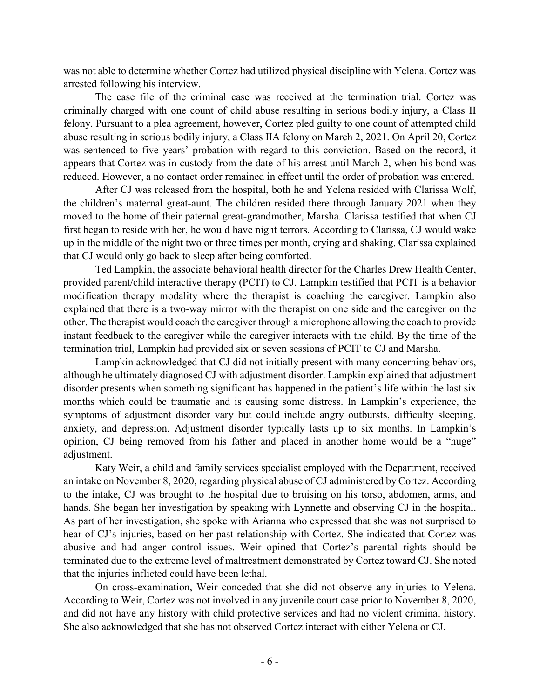was not able to determine whether Cortez had utilized physical discipline with Yelena. Cortez was arrested following his interview.

The case file of the criminal case was received at the termination trial. Cortez was criminally charged with one count of child abuse resulting in serious bodily injury, a Class II felony. Pursuant to a plea agreement, however, Cortez pled guilty to one count of attempted child abuse resulting in serious bodily injury, a Class IIA felony on March 2, 2021. On April 20, Cortez was sentenced to five years' probation with regard to this conviction. Based on the record, it appears that Cortez was in custody from the date of his arrest until March 2, when his bond was reduced. However, a no contact order remained in effect until the order of probation was entered.

After CJ was released from the hospital, both he and Yelena resided with Clarissa Wolf, the children's maternal great-aunt. The children resided there through January 2021 when they moved to the home of their paternal great-grandmother, Marsha. Clarissa testified that when CJ first began to reside with her, he would have night terrors. According to Clarissa, CJ would wake up in the middle of the night two or three times per month, crying and shaking. Clarissa explained that CJ would only go back to sleep after being comforted.

Ted Lampkin, the associate behavioral health director for the Charles Drew Health Center, provided parent/child interactive therapy (PCIT) to CJ. Lampkin testified that PCIT is a behavior modification therapy modality where the therapist is coaching the caregiver. Lampkin also explained that there is a two-way mirror with the therapist on one side and the caregiver on the other. The therapist would coach the caregiver through a microphone allowing the coach to provide instant feedback to the caregiver while the caregiver interacts with the child. By the time of the termination trial, Lampkin had provided six or seven sessions of PCIT to CJ and Marsha.

Lampkin acknowledged that CJ did not initially present with many concerning behaviors, although he ultimately diagnosed CJ with adjustment disorder. Lampkin explained that adjustment disorder presents when something significant has happened in the patient's life within the last six months which could be traumatic and is causing some distress. In Lampkin's experience, the symptoms of adjustment disorder vary but could include angry outbursts, difficulty sleeping, anxiety, and depression. Adjustment disorder typically lasts up to six months. In Lampkin's opinion, CJ being removed from his father and placed in another home would be a "huge" adjustment.

Katy Weir, a child and family services specialist employed with the Department, received an intake on November 8, 2020, regarding physical abuse of CJ administered by Cortez. According to the intake, CJ was brought to the hospital due to bruising on his torso, abdomen, arms, and hands. She began her investigation by speaking with Lynnette and observing CJ in the hospital. As part of her investigation, she spoke with Arianna who expressed that she was not surprised to hear of CJ's injuries, based on her past relationship with Cortez. She indicated that Cortez was abusive and had anger control issues. Weir opined that Cortez's parental rights should be terminated due to the extreme level of maltreatment demonstrated by Cortez toward CJ. She noted that the injuries inflicted could have been lethal.

On cross-examination, Weir conceded that she did not observe any injuries to Yelena. According to Weir, Cortez was not involved in any juvenile court case prior to November 8, 2020, and did not have any history with child protective services and had no violent criminal history. She also acknowledged that she has not observed Cortez interact with either Yelena or CJ.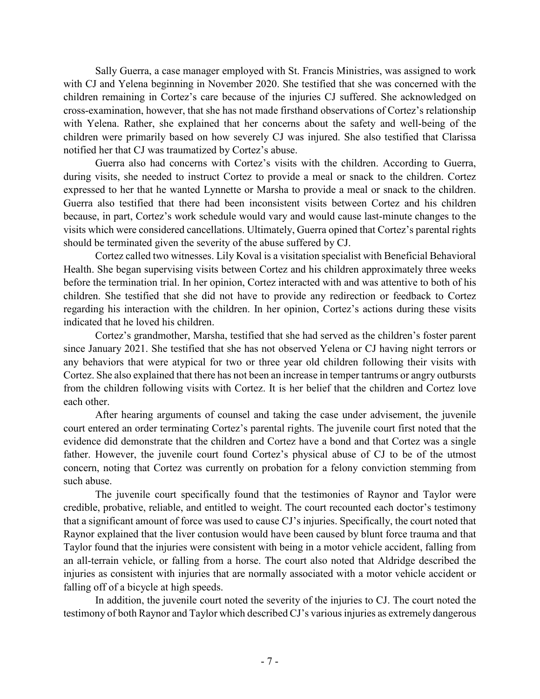Sally Guerra, a case manager employed with St. Francis Ministries, was assigned to work with CJ and Yelena beginning in November 2020. She testified that she was concerned with the children remaining in Cortez's care because of the injuries CJ suffered. She acknowledged on cross-examination, however, that she has not made firsthand observations of Cortez's relationship with Yelena. Rather, she explained that her concerns about the safety and well-being of the children were primarily based on how severely CJ was injured. She also testified that Clarissa notified her that CJ was traumatized by Cortez's abuse.

Guerra also had concerns with Cortez's visits with the children. According to Guerra, during visits, she needed to instruct Cortez to provide a meal or snack to the children. Cortez expressed to her that he wanted Lynnette or Marsha to provide a meal or snack to the children. Guerra also testified that there had been inconsistent visits between Cortez and his children because, in part, Cortez's work schedule would vary and would cause last-minute changes to the visits which were considered cancellations. Ultimately, Guerra opined that Cortez's parental rights should be terminated given the severity of the abuse suffered by CJ.

Cortez called two witnesses. Lily Koval is a visitation specialist with Beneficial Behavioral Health. She began supervising visits between Cortez and his children approximately three weeks before the termination trial. In her opinion, Cortez interacted with and was attentive to both of his children. She testified that she did not have to provide any redirection or feedback to Cortez regarding his interaction with the children. In her opinion, Cortez's actions during these visits indicated that he loved his children.

Cortez's grandmother, Marsha, testified that she had served as the children's foster parent since January 2021. She testified that she has not observed Yelena or CJ having night terrors or any behaviors that were atypical for two or three year old children following their visits with Cortez. She also explained that there has not been an increase in temper tantrums or angry outbursts from the children following visits with Cortez. It is her belief that the children and Cortez love each other.

After hearing arguments of counsel and taking the case under advisement, the juvenile court entered an order terminating Cortez's parental rights. The juvenile court first noted that the evidence did demonstrate that the children and Cortez have a bond and that Cortez was a single father. However, the juvenile court found Cortez's physical abuse of CJ to be of the utmost concern, noting that Cortez was currently on probation for a felony conviction stemming from such abuse.

The juvenile court specifically found that the testimonies of Raynor and Taylor were credible, probative, reliable, and entitled to weight. The court recounted each doctor's testimony that a significant amount of force was used to cause CJ's injuries. Specifically, the court noted that Raynor explained that the liver contusion would have been caused by blunt force trauma and that Taylor found that the injuries were consistent with being in a motor vehicle accident, falling from an all-terrain vehicle, or falling from a horse. The court also noted that Aldridge described the injuries as consistent with injuries that are normally associated with a motor vehicle accident or falling off of a bicycle at high speeds.

In addition, the juvenile court noted the severity of the injuries to CJ. The court noted the testimony of both Raynor and Taylor which described CJ's various injuries as extremely dangerous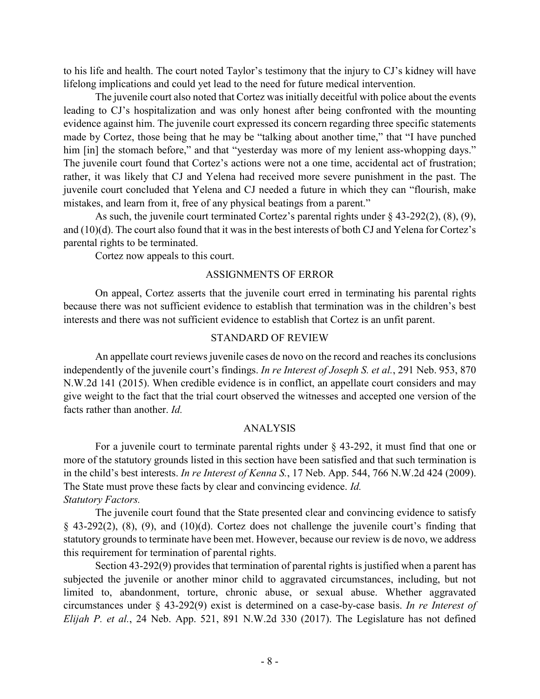to his life and health. The court noted Taylor's testimony that the injury to CJ's kidney will have lifelong implications and could yet lead to the need for future medical intervention.

The juvenile court also noted that Cortez was initially deceitful with police about the events leading to CJ's hospitalization and was only honest after being confronted with the mounting evidence against him. The juvenile court expressed its concern regarding three specific statements made by Cortez, those being that he may be "talking about another time," that "I have punched him [in] the stomach before," and that "yesterday was more of my lenient ass-whopping days." The juvenile court found that Cortez's actions were not a one time, accidental act of frustration; rather, it was likely that CJ and Yelena had received more severe punishment in the past. The juvenile court concluded that Yelena and CJ needed a future in which they can "flourish, make mistakes, and learn from it, free of any physical beatings from a parent."

As such, the juvenile court terminated Cortez's parental rights under § 43-292(2), (8), (9), and (10)(d). The court also found that it was in the best interests of both CJ and Yelena for Cortez's parental rights to be terminated.

Cortez now appeals to this court.

## ASSIGNMENTS OF ERROR

On appeal, Cortez asserts that the juvenile court erred in terminating his parental rights because there was not sufficient evidence to establish that termination was in the children's best interests and there was not sufficient evidence to establish that Cortez is an unfit parent.

## STANDARD OF REVIEW

An appellate court reviews juvenile cases de novo on the record and reaches its conclusions independently of the juvenile court's findings. *In re Interest of Joseph S. et al.*, 291 Neb. 953, 870 N.W.2d 141 (2015). When credible evidence is in conflict, an appellate court considers and may give weight to the fact that the trial court observed the witnesses and accepted one version of the facts rather than another. *Id.*

## ANALYSIS

For a juvenile court to terminate parental rights under § 43-292, it must find that one or more of the statutory grounds listed in this section have been satisfied and that such termination is in the child's best interests. *In re Interest of Kenna S.*, 17 Neb. App. 544, 766 N.W.2d 424 (2009). The State must prove these facts by clear and convincing evidence. *Id. Statutory Factors.*

The juvenile court found that the State presented clear and convincing evidence to satisfy § 43-292(2), (8), (9), and (10)(d). Cortez does not challenge the juvenile court's finding that statutory grounds to terminate have been met. However, because our review is de novo, we address this requirement for termination of parental rights.

Section 43-292(9) provides that termination of parental rights is justified when a parent has subjected the juvenile or another minor child to aggravated circumstances, including, but not limited to, abandonment, torture, chronic abuse, or sexual abuse. Whether aggravated circumstances under § 43-292(9) exist is determined on a case-by-case basis. *In re Interest of Elijah P. et al.*, 24 Neb. App. 521, 891 N.W.2d 330 (2017). The Legislature has not defined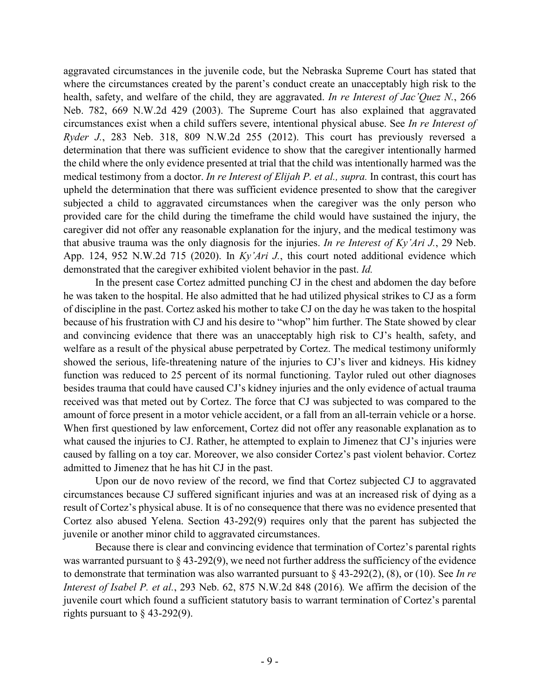aggravated circumstances in the juvenile code, but the Nebraska Supreme Court has stated that where the circumstances created by the parent's conduct create an unacceptably high risk to the health, safety, and welfare of the child, they are aggravated. *In re Interest of Jac'Quez N.*, 266 Neb. 782, 669 N.W.2d 429 (2003). The Supreme Court has also explained that aggravated circumstances exist when a child suffers severe, intentional physical abuse. See *In re Interest of Ryder J.*, 283 Neb. 318, 809 N.W.2d 255 (2012). This court has previously reversed a determination that there was sufficient evidence to show that the caregiver intentionally harmed the child where the only evidence presented at trial that the child was intentionally harmed was the medical testimony from a doctor. *In re Interest of Elijah P. et al., supra.* In contrast, this court has upheld the determination that there was sufficient evidence presented to show that the caregiver subjected a child to aggravated circumstances when the caregiver was the only person who provided care for the child during the timeframe the child would have sustained the injury, the caregiver did not offer any reasonable explanation for the injury, and the medical testimony was that abusive trauma was the only diagnosis for the injuries. *In re Interest of Ky'Ari J.*, 29 Neb. App. 124, 952 N.W.2d 715 (2020). In *Ky'Ari J.*, this court noted additional evidence which demonstrated that the caregiver exhibited violent behavior in the past. *Id.*

In the present case Cortez admitted punching CJ in the chest and abdomen the day before he was taken to the hospital. He also admitted that he had utilized physical strikes to CJ as a form of discipline in the past. Cortez asked his mother to take CJ on the day he was taken to the hospital because of his frustration with CJ and his desire to "whop" him further. The State showed by clear and convincing evidence that there was an unacceptably high risk to CJ's health, safety, and welfare as a result of the physical abuse perpetrated by Cortez. The medical testimony uniformly showed the serious, life-threatening nature of the injuries to CJ's liver and kidneys. His kidney function was reduced to 25 percent of its normal functioning. Taylor ruled out other diagnoses besides trauma that could have caused CJ's kidney injuries and the only evidence of actual trauma received was that meted out by Cortez. The force that CJ was subjected to was compared to the amount of force present in a motor vehicle accident, or a fall from an all-terrain vehicle or a horse. When first questioned by law enforcement, Cortez did not offer any reasonable explanation as to what caused the injuries to CJ. Rather, he attempted to explain to Jimenez that CJ's injuries were caused by falling on a toy car. Moreover, we also consider Cortez's past violent behavior. Cortez admitted to Jimenez that he has hit CJ in the past.

Upon our de novo review of the record, we find that Cortez subjected CJ to aggravated circumstances because CJ suffered significant injuries and was at an increased risk of dying as a result of Cortez's physical abuse. It is of no consequence that there was no evidence presented that Cortez also abused Yelena. Section 43-292(9) requires only that the parent has subjected the juvenile or another minor child to aggravated circumstances.

Because there is clear and convincing evidence that termination of Cortez's parental rights was warranted pursuant to § 43-292(9), we need not further address the sufficiency of the evidence to demonstrate that termination was also warranted pursuant to § 43-292(2), (8), or (10). See *In re Interest of Isabel P. et al.*, 293 Neb. 62, 875 N.W.2d 848 (2016)*.* We affirm the decision of the juvenile court which found a sufficient statutory basis to warrant termination of Cortez's parental rights pursuant to  $\S$  43-292(9).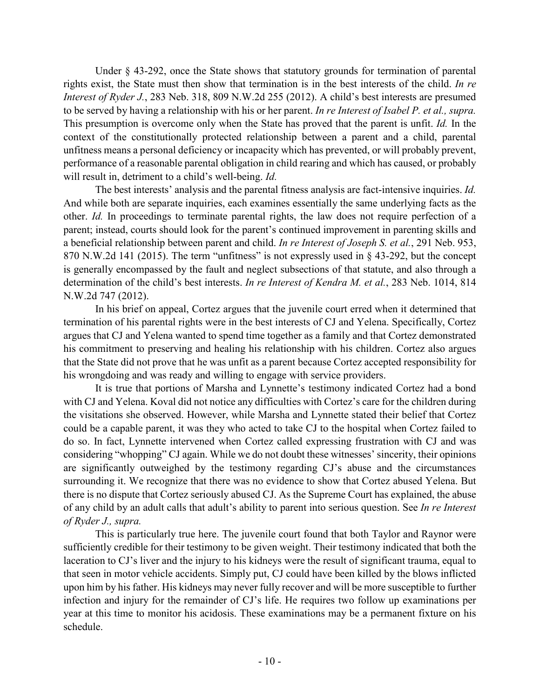Under § 43-292, once the State shows that statutory grounds for termination of parental rights exist, the State must then show that termination is in the best interests of the child. *In re Interest of Ryder J.*, 283 Neb. 318, 809 N.W.2d 255 (2012). A child's best interests are presumed to be served by having a relationship with his or her parent. *In re Interest of Isabel P. et al., supra.* This presumption is overcome only when the State has proved that the parent is unfit. *Id.* In the context of the constitutionally protected relationship between a parent and a child, parental unfitness means a personal deficiency or incapacity which has prevented, or will probably prevent, performance of a reasonable parental obligation in child rearing and which has caused, or probably will result in, detriment to a child's well-being. *Id.*

The best interests' analysis and the parental fitness analysis are fact-intensive inquiries. *Id.* And while both are separate inquiries, each examines essentially the same underlying facts as the other. *Id.* In proceedings to terminate parental rights, the law does not require perfection of a parent; instead, courts should look for the parent's continued improvement in parenting skills and a beneficial relationship between parent and child. *In re Interest of Joseph S. et al.*, 291 Neb. 953, 870 N.W.2d 141 (2015). The term "unfitness" is not expressly used in § 43-292, but the concept is generally encompassed by the fault and neglect subsections of that statute, and also through a determination of the child's best interests. *In re Interest of Kendra M. et al.*, 283 Neb. 1014, 814 N.W.2d 747 (2012).

In his brief on appeal, Cortez argues that the juvenile court erred when it determined that termination of his parental rights were in the best interests of CJ and Yelena. Specifically, Cortez argues that CJ and Yelena wanted to spend time together as a family and that Cortez demonstrated his commitment to preserving and healing his relationship with his children. Cortez also argues that the State did not prove that he was unfit as a parent because Cortez accepted responsibility for his wrongdoing and was ready and willing to engage with service providers.

It is true that portions of Marsha and Lynnette's testimony indicated Cortez had a bond with CJ and Yelena. Koval did not notice any difficulties with Cortez's care for the children during the visitations she observed. However, while Marsha and Lynnette stated their belief that Cortez could be a capable parent, it was they who acted to take CJ to the hospital when Cortez failed to do so. In fact, Lynnette intervened when Cortez called expressing frustration with CJ and was considering "whopping" CJ again. While we do not doubt these witnesses' sincerity, their opinions are significantly outweighed by the testimony regarding CJ's abuse and the circumstances surrounding it. We recognize that there was no evidence to show that Cortez abused Yelena. But there is no dispute that Cortez seriously abused CJ. As the Supreme Court has explained, the abuse of any child by an adult calls that adult's ability to parent into serious question. See *In re Interest of Ryder J., supra.*

This is particularly true here. The juvenile court found that both Taylor and Raynor were sufficiently credible for their testimony to be given weight. Their testimony indicated that both the laceration to CJ's liver and the injury to his kidneys were the result of significant trauma, equal to that seen in motor vehicle accidents. Simply put, CJ could have been killed by the blows inflicted upon him by his father. His kidneys may never fully recover and will be more susceptible to further infection and injury for the remainder of CJ's life. He requires two follow up examinations per year at this time to monitor his acidosis. These examinations may be a permanent fixture on his schedule.